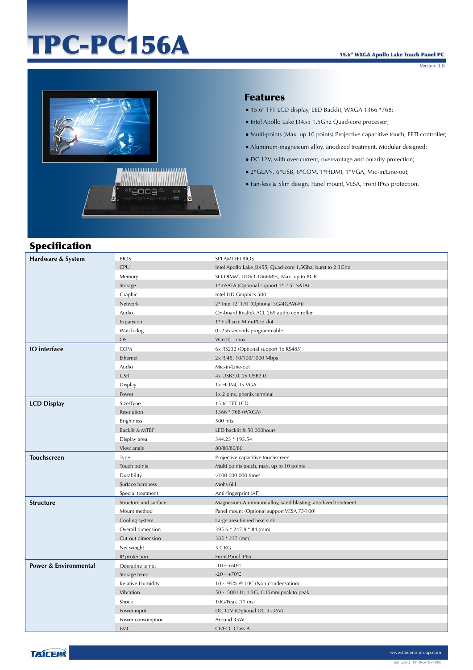# TPC-PC156A

Version: 3.0



#### Features

- 15.6" TFT LCD display, LED Backlit, WXGA 1366 \*768;
- Intel Apollo Lake J3455 1.5Ghz Quad-core processor;
- Multi-points (Max. up 10 points) Projective capacitive touch, EETI controller;
- Aluminum-magnesium alloy, anodized treatment, Modular designed;
- DC 12V, with over-current, over-voltage and polarity protection;
- 2\*GLAN, 6\*USB, 6\*COM, 1\*HDMI, 1\*VGA, Mic-in/Line-out;
- Fan-less & Slim design, Panel mount, VESA, Front IP65 protection.

## Specification

| Hardware & System                | <b>BIOS</b>           | SPI AMI EEI BIOS                                            |
|----------------------------------|-----------------------|-------------------------------------------------------------|
|                                  | <b>CPU</b>            | Intel Apollo Lake J3455, Quad-core 1.5Ghz, burst to 2.3Ghz  |
|                                  | Memory                | SO-DIMM, DDR3-1866Mt/s, Max. up to 8GB                      |
|                                  | Storage               | 1*mSATA (Optional support 1* 2.5" SATA)                     |
|                                  | Graphic               | Intel HD Graphics 500                                       |
|                                  | Network               | 2* Intel I211AT (Optional 3G/4G/Wi-Fi)                      |
|                                  | Audio                 | On-board Realtek ACL 269 audio controller                   |
|                                  | Expansion             | 1* Full size Mini-PCIe slot                                 |
|                                  | Watch dog             | 0~256 seconds programmable                                  |
|                                  | <b>OS</b>             | Win10, Linux                                                |
| <b>IO</b> interface              | COM                   | 6x RS232 (Optional support 1x RS485)                        |
|                                  | Ethernet              | 2x RJ45, 10/100/1000 Mbps                                   |
|                                  | Audio                 | Mic-in/Line-out                                             |
|                                  | <b>USB</b>            | 4x USB3.0, 2x USB2.0                                        |
|                                  | Display               | 1x HDMI, 1x VGA                                             |
|                                  | Power                 | 1x 2 pins, phenix terminal                                  |
| <b>LCD Display</b>               | Size/Type             | 15.6" TFT LCD                                               |
|                                  | Resolution            | 1366 * 768 (WXGA)                                           |
|                                  | <b>Brightness</b>     | 500 nits                                                    |
|                                  | Backlit & MTBF        | LED backlit & 50 000hours                                   |
|                                  | Display area          | 344.23 * 193.54                                             |
|                                  | View angle            | 80/80/80/80                                                 |
| <b>Touchscreen</b>               | Type                  | Projective capacitive touchscreen                           |
|                                  | Touch points          | Multi points touch, max. up to 10 points                    |
|                                  | Durability            | >100 000 000 times                                          |
|                                  | Surface hardness      | Mohs 6H                                                     |
|                                  | Special treatment     | Anti-fingerprint (AF)                                       |
| <b>Structure</b>                 | Structure and surface | Magnesium-Aluminum alloy, sand blasting, anodized treatment |
|                                  | Mount method          | Panel mount (Optional support VESA 75/100)                  |
|                                  | Cooling system        | Large area finned heat sink                                 |
|                                  | Overall dimension     | 395.6 * 247.9 * 84 (mm)                                     |
|                                  | Cut-out dimension     | 385 * 237 (mm)                                              |
|                                  | Net weight            | 5.0 KG                                                      |
|                                  | IP protection         | Front Panel IP65                                            |
| <b>Power &amp; Environmental</b> | Operating temp.       | $-10 \sim +60$ °C                                           |
|                                  | Storage temp.         | $-20 \sim +70$ °C                                           |
|                                  | Relative Humidity     | $10 \sim 95\%$ @ 10C (Non-condensation)                     |
|                                  | Vibration             | $50 \sim 500$ Hz, 1.5G, 0.15mm peak to peak                 |
|                                  | Shock                 | 10G/Peak (11 ms)                                            |
|                                  | Power input           | DC 12V (Optional DC 9~36V)                                  |
|                                  | Power consumption     | Around 35W                                                  |
|                                  | <b>EMC</b>            | <b>CE/FCC Class A</b>                                       |